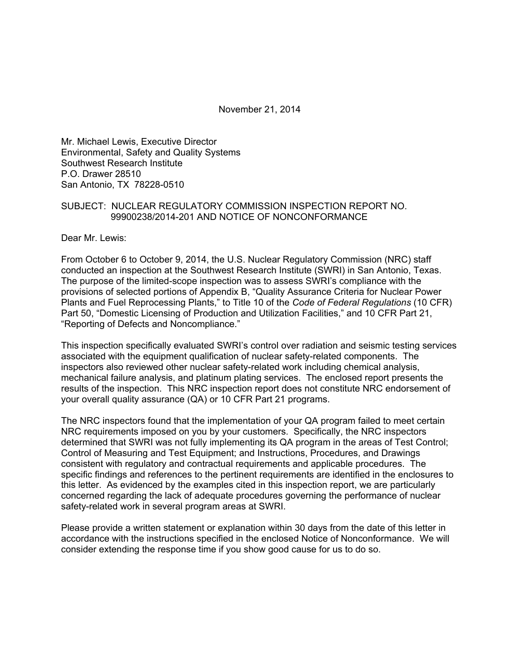November 21, 2014

Mr. Michael Lewis, Executive Director Environmental, Safety and Quality Systems Southwest Research Institute P.O. Drawer 28510 San Antonio, TX 78228-0510

### SUBJECT: NUCLEAR REGULATORY COMMISSION INSPECTION REPORT NO. 99900238/2014-201 AND NOTICE OF NONCONFORMANCE

Dear Mr. Lewis:

From October 6 to October 9, 2014, the U.S. Nuclear Regulatory Commission (NRC) staff conducted an inspection at the Southwest Research Institute (SWRI) in San Antonio, Texas. The purpose of the limited-scope inspection was to assess SWRI's compliance with the provisions of selected portions of Appendix B, "Quality Assurance Criteria for Nuclear Power Plants and Fuel Reprocessing Plants," to Title 10 of the *Code of Federal Regulations* (10 CFR) Part 50, "Domestic Licensing of Production and Utilization Facilities," and 10 CFR Part 21, "Reporting of Defects and Noncompliance."

This inspection specifically evaluated SWRI's control over radiation and seismic testing services associated with the equipment qualification of nuclear safety-related components. The inspectors also reviewed other nuclear safety-related work including chemical analysis, mechanical failure analysis, and platinum plating services. The enclosed report presents the results of the inspection. This NRC inspection report does not constitute NRC endorsement of your overall quality assurance (QA) or 10 CFR Part 21 programs.

The NRC inspectors found that the implementation of your QA program failed to meet certain NRC requirements imposed on you by your customers. Specifically, the NRC inspectors determined that SWRI was not fully implementing its QA program in the areas of Test Control; Control of Measuring and Test Equipment; and Instructions, Procedures, and Drawings consistent with regulatory and contractual requirements and applicable procedures. The specific findings and references to the pertinent requirements are identified in the enclosures to this letter. As evidenced by the examples cited in this inspection report, we are particularly concerned regarding the lack of adequate procedures governing the performance of nuclear safety-related work in several program areas at SWRI.

Please provide a written statement or explanation within 30 days from the date of this letter in accordance with the instructions specified in the enclosed Notice of Nonconformance. We will consider extending the response time if you show good cause for us to do so.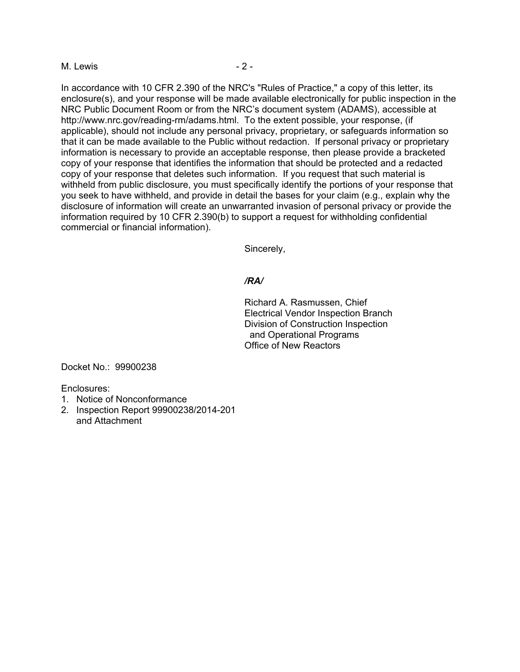#### M. Lewis 2 -

In accordance with 10 CFR 2.390 of the NRC's "Rules of Practice," a copy of this letter, its enclosure(s), and your response will be made available electronically for public inspection in the NRC Public Document Room or from the NRC's document system (ADAMS), accessible at http://www.nrc.gov/reading-rm/adams.html. To the extent possible, your response, (if applicable), should not include any personal privacy, proprietary, or safeguards information so that it can be made available to the Public without redaction. If personal privacy or proprietary information is necessary to provide an acceptable response, then please provide a bracketed copy of your response that identifies the information that should be protected and a redacted copy of your response that deletes such information. If you request that such material is withheld from public disclosure, you must specifically identify the portions of your response that you seek to have withheld, and provide in detail the bases for your claim (e.g., explain why the disclosure of information will create an unwarranted invasion of personal privacy or provide the information required by 10 CFR 2.390(b) to support a request for withholding confidential commercial or financial information).

Sincerely,

### */RA/*

Richard A. Rasmussen, Chief Electrical Vendor Inspection Branch Division of Construction Inspection and Operational Programs Office of New Reactors

Docket No.: 99900238

Enclosures:

- 1. Notice of Nonconformance
- 2. Inspection Report 99900238/2014-201 and Attachment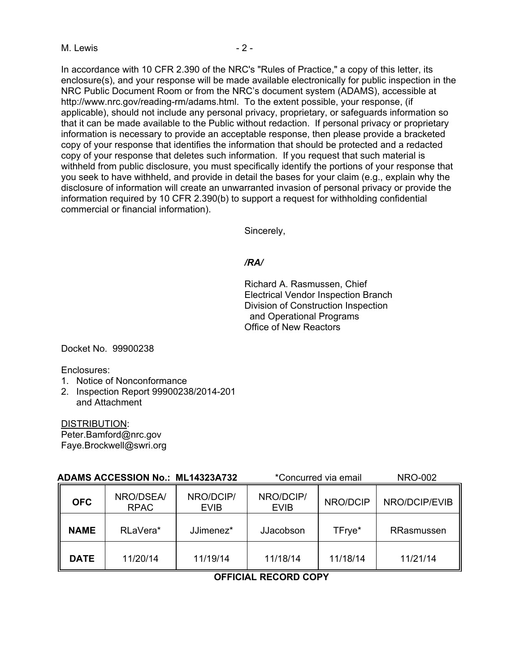In accordance with 10 CFR 2.390 of the NRC's "Rules of Practice," a copy of this letter, its enclosure(s), and your response will be made available electronically for public inspection in the NRC Public Document Room or from the NRC's document system (ADAMS), accessible at http://www.nrc.gov/reading-rm/adams.html. To the extent possible, your response, (if applicable), should not include any personal privacy, proprietary, or safeguards information so that it can be made available to the Public without redaction. If personal privacy or proprietary information is necessary to provide an acceptable response, then please provide a bracketed copy of your response that identifies the information that should be protected and a redacted copy of your response that deletes such information. If you request that such material is withheld from public disclosure, you must specifically identify the portions of your response that you seek to have withheld, and provide in detail the bases for your claim (e.g., explain why the disclosure of information will create an unwarranted invasion of personal privacy or provide the information required by 10 CFR 2.390(b) to support a request for withholding confidential commercial or financial information).

Sincerely,

#### */RA/*

Richard A. Rasmussen, Chief Electrical Vendor Inspection Branch Division of Construction Inspection and Operational Programs Office of New Reactors

Docket No. 99900238

Enclosures:

- 1. Notice of Nonconformance
- 2. Inspection Report 99900238/2014-201 and Attachment

DISTRIBUTION: Peter.Bamford@nrc.gov Faye.Brockwell@swri.org

| <b>ADAMS ACCESSION No.: ML14323A732</b> |                          |                          | *Concurred via email     |          | <b>NRO-002</b> |  |
|-----------------------------------------|--------------------------|--------------------------|--------------------------|----------|----------------|--|
| <b>OFC</b>                              | NRO/DSEA/<br><b>RPAC</b> | NRO/DCIP/<br><b>EVIB</b> | NRO/DCIP/<br><b>EVIB</b> | NRO/DCIP | NRO/DCIP/EVIB  |  |
| <b>NAME</b>                             | RLaVera*                 | JJimenez*                | JJacobson                | TFrye*   | RRasmussen     |  |
| <b>DATE</b>                             | 11/20/14                 | 11/19/14                 | 11/18/14                 | 11/18/14 | 11/21/14       |  |

#### **OFFICIAL RECORD COPY**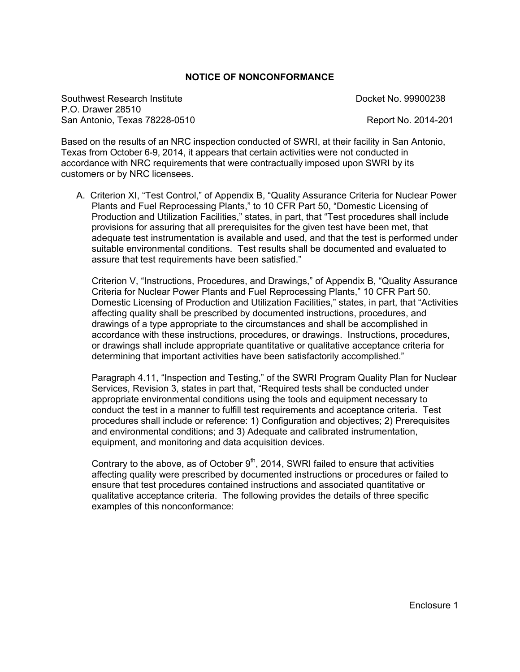### **NOTICE OF NONCONFORMANCE**

Southwest Research Institute **Docket No. 99900238** P.O. Drawer 28510 San Antonio, Texas 78228-0510 **Report No. 2014-201** Report No. 2014-201

Based on the results of an NRC inspection conducted of SWRI, at their facility in San Antonio, Texas from October 6-9, 2014, it appears that certain activities were not conducted in accordance with NRC requirements that were contractually imposed upon SWRI by its customers or by NRC licensees.

A. Criterion XI, "Test Control," of Appendix B, "Quality Assurance Criteria for Nuclear Power Plants and Fuel Reprocessing Plants," to 10 CFR Part 50, "Domestic Licensing of Production and Utilization Facilities," states, in part, that "Test procedures shall include provisions for assuring that all prerequisites for the given test have been met, that adequate test instrumentation is available and used, and that the test is performed under suitable environmental conditions. Test results shall be documented and evaluated to assure that test requirements have been satisfied."

Criterion V, "Instructions, Procedures, and Drawings," of Appendix B, "Quality Assurance Criteria for Nuclear Power Plants and Fuel Reprocessing Plants," 10 CFR Part 50. Domestic Licensing of Production and Utilization Facilities," states, in part, that "Activities affecting quality shall be prescribed by documented instructions, procedures, and drawings of a type appropriate to the circumstances and shall be accomplished in accordance with these instructions, procedures, or drawings. Instructions, procedures, or drawings shall include appropriate quantitative or qualitative acceptance criteria for determining that important activities have been satisfactorily accomplished."

Paragraph 4.11, "Inspection and Testing," of the SWRI Program Quality Plan for Nuclear Services, Revision 3, states in part that, "Required tests shall be conducted under appropriate environmental conditions using the tools and equipment necessary to conduct the test in a manner to fulfill test requirements and acceptance criteria. Test procedures shall include or reference: 1) Configuration and objectives; 2) Prerequisites and environmental conditions; and 3) Adequate and calibrated instrumentation, equipment, and monitoring and data acquisition devices.

Contrary to the above, as of October  $9<sup>th</sup>$ , 2014, SWRI failed to ensure that activities affecting quality were prescribed by documented instructions or procedures or failed to ensure that test procedures contained instructions and associated quantitative or qualitative acceptance criteria. The following provides the details of three specific examples of this nonconformance: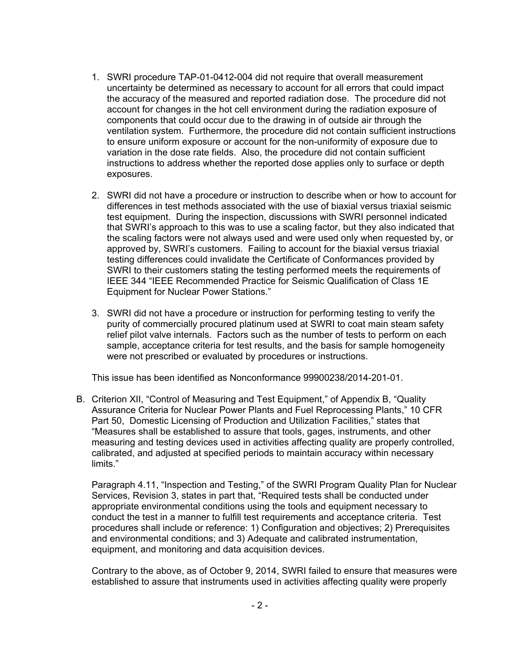- 1. SWRI procedure TAP-01-0412-004 did not require that overall measurement uncertainty be determined as necessary to account for all errors that could impact the accuracy of the measured and reported radiation dose. The procedure did not account for changes in the hot cell environment during the radiation exposure of components that could occur due to the drawing in of outside air through the ventilation system. Furthermore, the procedure did not contain sufficient instructions to ensure uniform exposure or account for the non-uniformity of exposure due to variation in the dose rate fields. Also, the procedure did not contain sufficient instructions to address whether the reported dose applies only to surface or depth exposures.
- 2. SWRI did not have a procedure or instruction to describe when or how to account for differences in test methods associated with the use of biaxial versus triaxial seismic test equipment. During the inspection, discussions with SWRI personnel indicated that SWRI's approach to this was to use a scaling factor, but they also indicated that the scaling factors were not always used and were used only when requested by, or approved by, SWRI's customers. Failing to account for the biaxial versus triaxial testing differences could invalidate the Certificate of Conformances provided by SWRI to their customers stating the testing performed meets the requirements of IEEE 344 "IEEE Recommended Practice for Seismic Qualification of Class 1E Equipment for Nuclear Power Stations."
- 3. SWRI did not have a procedure or instruction for performing testing to verify the purity of commercially procured platinum used at SWRI to coat main steam safety relief pilot valve internals. Factors such as the number of tests to perform on each sample, acceptance criteria for test results, and the basis for sample homogeneity were not prescribed or evaluated by procedures or instructions.

This issue has been identified as Nonconformance 99900238/2014-201-01.

B. Criterion XII, "Control of Measuring and Test Equipment," of Appendix B, "Quality Assurance Criteria for Nuclear Power Plants and Fuel Reprocessing Plants," 10 CFR Part 50, Domestic Licensing of Production and Utilization Facilities," states that "Measures shall be established to assure that tools, gages, instruments, and other measuring and testing devices used in activities affecting quality are properly controlled, calibrated, and adjusted at specified periods to maintain accuracy within necessary limits."

Paragraph 4.11, "Inspection and Testing," of the SWRI Program Quality Plan for Nuclear Services, Revision 3, states in part that, "Required tests shall be conducted under appropriate environmental conditions using the tools and equipment necessary to conduct the test in a manner to fulfill test requirements and acceptance criteria. Test procedures shall include or reference: 1) Configuration and objectives; 2) Prerequisites and environmental conditions; and 3) Adequate and calibrated instrumentation, equipment, and monitoring and data acquisition devices.

Contrary to the above, as of October 9, 2014, SWRI failed to ensure that measures were established to assure that instruments used in activities affecting quality were properly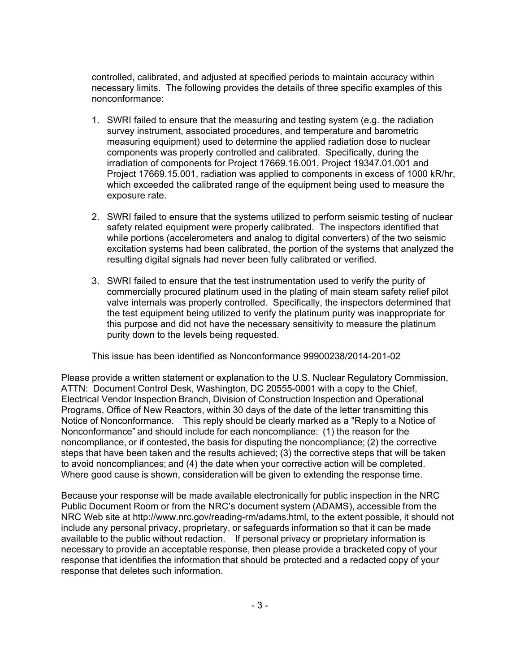controlled, calibrated, and adjusted at specified periods to maintain accuracy within necessary limits. The following provides the details of three specific examples of this nonconformance:

- 1. SWRI failed to ensure that the measuring and testing system (e.g. the radiation survey instrument, associated procedures, and temperature and barometric measuring equipment) used to determine the applied radiation dose to nuclear components was properly controlled and calibrated. Specifically, during the irradiation of components for Project 17669.16.001, Project 19347.01.001 and Project 17669.15.001, radiation was applied to components in excess of 1000 kR/hr, which exceeded the calibrated range of the equipment being used to measure the exposure rate.
- 2. SWRI failed to ensure that the systems utilized to perform seismic testing of nuclear safety related equipment were properly calibrated. The inspectors identified that while portions (accelerometers and analog to digital converters) of the two seismic excitation systems had been calibrated, the portion of the systems that analyzed the resulting digital signals had never been fully calibrated or verified.
- 3. SWRI failed to ensure that the test instrumentation used to verify the purity of commercially procured platinum used in the plating of main steam safety relief pilot valve internals was properly controlled. Specifically, the inspectors determined that the test equipment being utilized to verify the platinum purity was inappropriate for this purpose and did not have the necessary sensitivity to measure the platinum purity down to the levels being requested.

This issue has been identified as Nonconformance 99900238/2014-201-02

Please provide a written statement or explanation to the U.S. Nuclear Regulatory Commission, ATTN: Document Control Desk, Washington, DC 20555-0001 with a copy to the Chief, Electrical Vendor Inspection Branch, Division of Construction Inspection and Operational Programs, Office of New Reactors, within 30 days of the date of the letter transmitting this Notice of Nonconformance. This reply should be clearly marked as a "Reply to a Notice of Nonconformance" and should include for each noncompliance: (1) the reason for the noncompliance, or if contested, the basis for disputing the noncompliance; (2) the corrective steps that have been taken and the results achieved; (3) the corrective steps that will be taken to avoid noncompliances; and (4) the date when your corrective action will be completed. Where good cause is shown, consideration will be given to extending the response time.

Because your response will be made available electronically for public inspection in the NRC Public Document Room or from the NRC's document system (ADAMS), accessible from the NRC Web site at http://www.nrc.gov/reading-rm/adams.html, to the extent possible, it should not include any personal privacy, proprietary, or safeguards information so that it can be made available to the public without redaction. If personal privacy or proprietary information is necessary to provide an acceptable response, then please provide a bracketed copy of your response that identifies the information that should be protected and a redacted copy of your response that deletes such information.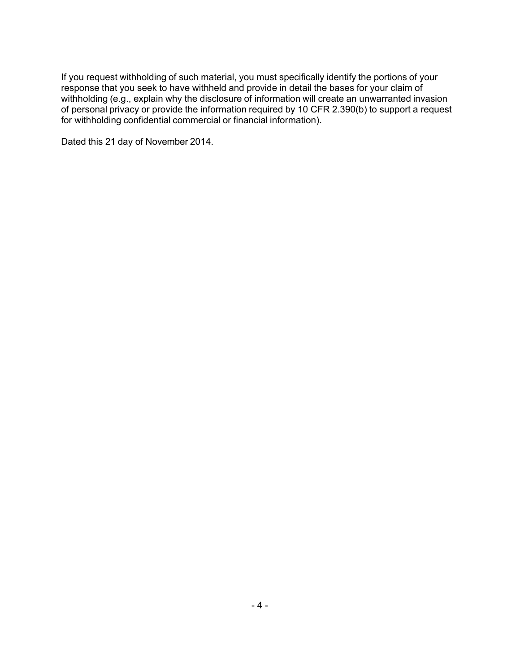If you request withholding of such material, you must specifically identify the portions of your response that you seek to have withheld and provide in detail the bases for your claim of withholding (e.g., explain why the disclosure of information will create an unwarranted invasion of personal privacy or provide the information required by 10 CFR 2.390(b) to support a request for withholding confidential commercial or financial information).

Dated this 21 day of November 2014.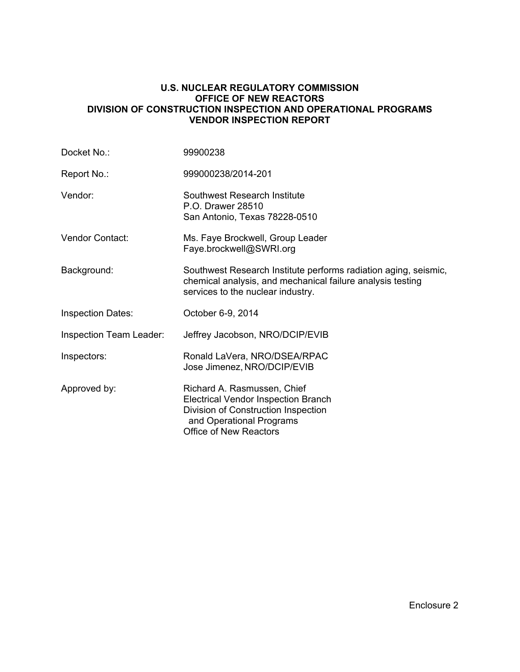## **U.S. NUCLEAR REGULATORY COMMISSION OFFICE OF NEW REACTORS DIVISION OF CONSTRUCTION INSPECTION AND OPERATIONAL PROGRAMS VENDOR INSPECTION REPORT**

| Docket No.:              | 99900238                                                                                                                                                                      |
|--------------------------|-------------------------------------------------------------------------------------------------------------------------------------------------------------------------------|
| Report No.:              | 999000238/2014-201                                                                                                                                                            |
| Vendor:                  | Southwest Research Institute<br>P.O. Drawer 28510<br>San Antonio, Texas 78228-0510                                                                                            |
| <b>Vendor Contact:</b>   | Ms. Faye Brockwell, Group Leader<br>Faye.brockwell@SWRI.org                                                                                                                   |
| Background:              | Southwest Research Institute performs radiation aging, seismic,<br>chemical analysis, and mechanical failure analysis testing<br>services to the nuclear industry.            |
| <b>Inspection Dates:</b> | October 6-9, 2014                                                                                                                                                             |
| Inspection Team Leader:  | Jeffrey Jacobson, NRO/DCIP/EVIB                                                                                                                                               |
| Inspectors:              | Ronald LaVera, NRO/DSEA/RPAC<br>Jose Jimenez, NRO/DCIP/EVIB                                                                                                                   |
| Approved by:             | Richard A. Rasmussen, Chief<br><b>Electrical Vendor Inspection Branch</b><br>Division of Construction Inspection<br>and Operational Programs<br><b>Office of New Reactors</b> |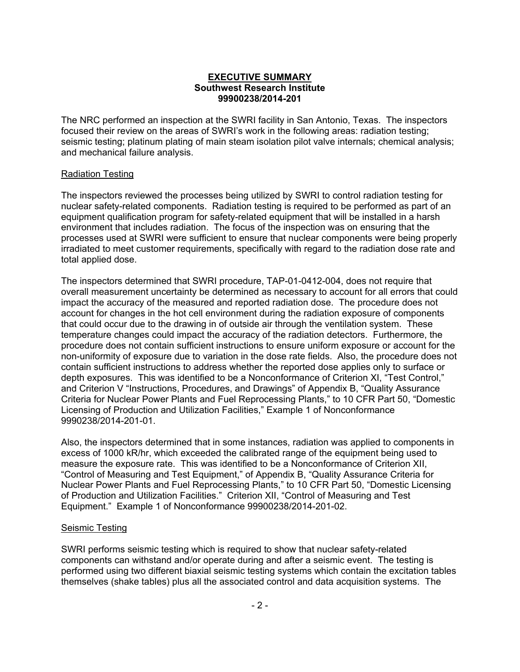### **EXECUTIVE SUMMARY Southwest Research Institute 99900238/2014-201**

The NRC performed an inspection at the SWRI facility in San Antonio, Texas. The inspectors focused their review on the areas of SWRI's work in the following areas: radiation testing; seismic testing; platinum plating of main steam isolation pilot valve internals; chemical analysis; and mechanical failure analysis.

## Radiation Testing

The inspectors reviewed the processes being utilized by SWRI to control radiation testing for nuclear safety-related components. Radiation testing is required to be performed as part of an equipment qualification program for safety-related equipment that will be installed in a harsh environment that includes radiation. The focus of the inspection was on ensuring that the processes used at SWRI were sufficient to ensure that nuclear components were being properly irradiated to meet customer requirements, specifically with regard to the radiation dose rate and total applied dose.

The inspectors determined that SWRI procedure, TAP-01-0412-004, does not require that overall measurement uncertainty be determined as necessary to account for all errors that could impact the accuracy of the measured and reported radiation dose. The procedure does not account for changes in the hot cell environment during the radiation exposure of components that could occur due to the drawing in of outside air through the ventilation system. These temperature changes could impact the accuracy of the radiation detectors. Furthermore, the procedure does not contain sufficient instructions to ensure uniform exposure or account for the non-uniformity of exposure due to variation in the dose rate fields. Also, the procedure does not contain sufficient instructions to address whether the reported dose applies only to surface or depth exposures. This was identified to be a Nonconformance of Criterion XI, "Test Control," and Criterion V "Instructions, Procedures, and Drawings" of Appendix B, "Quality Assurance Criteria for Nuclear Power Plants and Fuel Reprocessing Plants," to 10 CFR Part 50, "Domestic Licensing of Production and Utilization Facilities," Example 1 of Nonconformance 9990238/2014-201-01.

Also, the inspectors determined that in some instances, radiation was applied to components in excess of 1000 kR/hr, which exceeded the calibrated range of the equipment being used to measure the exposure rate. This was identified to be a Nonconformance of Criterion XII, "Control of Measuring and Test Equipment," of Appendix B, "Quality Assurance Criteria for Nuclear Power Plants and Fuel Reprocessing Plants," to 10 CFR Part 50, "Domestic Licensing of Production and Utilization Facilities." Criterion XII, "Control of Measuring and Test Equipment." Example 1 of Nonconformance 99900238/2014-201-02.

## Seismic Testing

SWRI performs seismic testing which is required to show that nuclear safety-related components can withstand and/or operate during and after a seismic event. The testing is performed using two different biaxial seismic testing systems which contain the excitation tables themselves (shake tables) plus all the associated control and data acquisition systems. The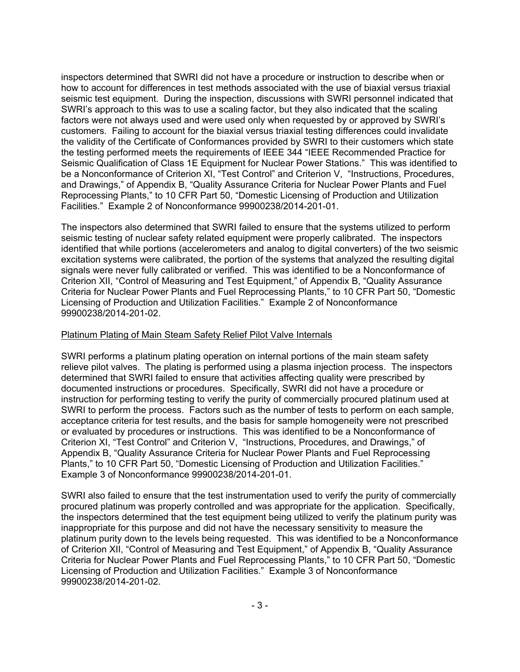inspectors determined that SWRI did not have a procedure or instruction to describe when or how to account for differences in test methods associated with the use of biaxial versus triaxial seismic test equipment. During the inspection, discussions with SWRI personnel indicated that SWRI's approach to this was to use a scaling factor, but they also indicated that the scaling factors were not always used and were used only when requested by or approved by SWRI's customers. Failing to account for the biaxial versus triaxial testing differences could invalidate the validity of the Certificate of Conformances provided by SWRI to their customers which state the testing performed meets the requirements of IEEE 344 "IEEE Recommended Practice for Seismic Qualification of Class 1E Equipment for Nuclear Power Stations." This was identified to be a Nonconformance of Criterion XI, "Test Control" and Criterion V, "Instructions, Procedures, and Drawings," of Appendix B, "Quality Assurance Criteria for Nuclear Power Plants and Fuel Reprocessing Plants," to 10 CFR Part 50, "Domestic Licensing of Production and Utilization Facilities." Example 2 of Nonconformance 99900238/2014-201-01.

The inspectors also determined that SWRI failed to ensure that the systems utilized to perform seismic testing of nuclear safety related equipment were properly calibrated. The inspectors identified that while portions (accelerometers and analog to digital converters) of the two seismic excitation systems were calibrated, the portion of the systems that analyzed the resulting digital signals were never fully calibrated or verified. This was identified to be a Nonconformance of Criterion XII, "Control of Measuring and Test Equipment," of Appendix B, "Quality Assurance Criteria for Nuclear Power Plants and Fuel Reprocessing Plants," to 10 CFR Part 50, "Domestic Licensing of Production and Utilization Facilities." Example 2 of Nonconformance 99900238/2014-201-02.

### Platinum Plating of Main Steam Safety Relief Pilot Valve Internals

SWRI performs a platinum plating operation on internal portions of the main steam safety relieve pilot valves. The plating is performed using a plasma injection process. The inspectors determined that SWRI failed to ensure that activities affecting quality were prescribed by documented instructions or procedures. Specifically, SWRI did not have a procedure or instruction for performing testing to verify the purity of commercially procured platinum used at SWRI to perform the process. Factors such as the number of tests to perform on each sample, acceptance criteria for test results, and the basis for sample homogeneity were not prescribed or evaluated by procedures or instructions. This was identified to be a Nonconformance of Criterion XI, "Test Control" and Criterion V, "Instructions, Procedures, and Drawings," of Appendix B, "Quality Assurance Criteria for Nuclear Power Plants and Fuel Reprocessing Plants," to 10 CFR Part 50, "Domestic Licensing of Production and Utilization Facilities." Example 3 of Nonconformance 99900238/2014-201-01.

SWRI also failed to ensure that the test instrumentation used to verify the purity of commercially procured platinum was properly controlled and was appropriate for the application. Specifically, the inspectors determined that the test equipment being utilized to verify the platinum purity was inappropriate for this purpose and did not have the necessary sensitivity to measure the platinum purity down to the levels being requested. This was identified to be a Nonconformance of Criterion XII, "Control of Measuring and Test Equipment," of Appendix B, "Quality Assurance Criteria for Nuclear Power Plants and Fuel Reprocessing Plants," to 10 CFR Part 50, "Domestic Licensing of Production and Utilization Facilities." Example 3 of Nonconformance 99900238/2014-201-02.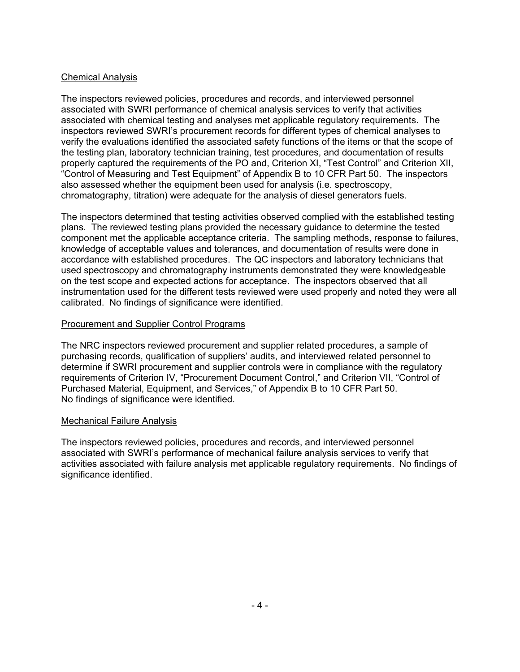# Chemical Analysis

The inspectors reviewed policies, procedures and records, and interviewed personnel associated with SWRI performance of chemical analysis services to verify that activities associated with chemical testing and analyses met applicable regulatory requirements. The inspectors reviewed SWRI's procurement records for different types of chemical analyses to verify the evaluations identified the associated safety functions of the items or that the scope of the testing plan, laboratory technician training, test procedures, and documentation of results properly captured the requirements of the PO and, Criterion XI, "Test Control" and Criterion XII, "Control of Measuring and Test Equipment" of Appendix B to 10 CFR Part 50. The inspectors also assessed whether the equipment been used for analysis (i.e. spectroscopy, chromatography, titration) were adequate for the analysis of diesel generators fuels.

The inspectors determined that testing activities observed complied with the established testing plans. The reviewed testing plans provided the necessary guidance to determine the tested component met the applicable acceptance criteria. The sampling methods, response to failures, knowledge of acceptable values and tolerances, and documentation of results were done in accordance with established procedures. The QC inspectors and laboratory technicians that used spectroscopy and chromatography instruments demonstrated they were knowledgeable on the test scope and expected actions for acceptance. The inspectors observed that all instrumentation used for the different tests reviewed were used properly and noted they were all calibrated. No findings of significance were identified.

## Procurement and Supplier Control Programs

The NRC inspectors reviewed procurement and supplier related procedures, a sample of purchasing records, qualification of suppliers' audits, and interviewed related personnel to determine if SWRI procurement and supplier controls were in compliance with the regulatory requirements of Criterion IV, "Procurement Document Control," and Criterion VII, "Control of Purchased Material, Equipment, and Services," of Appendix B to 10 CFR Part 50. No findings of significance were identified.

# Mechanical Failure Analysis

The inspectors reviewed policies, procedures and records, and interviewed personnel associated with SWRI's performance of mechanical failure analysis services to verify that activities associated with failure analysis met applicable regulatory requirements. No findings of significance identified.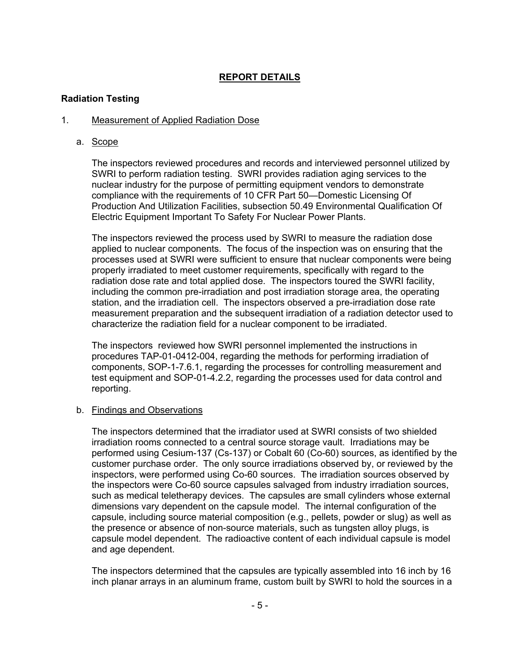# **REPORT DETAILS**

## **Radiation Testing**

### 1. Measurement of Applied Radiation Dose

a. Scope

The inspectors reviewed procedures and records and interviewed personnel utilized by SWRI to perform radiation testing. SWRI provides radiation aging services to the nuclear industry for the purpose of permitting equipment vendors to demonstrate compliance with the requirements of 10 CFR Part 50—Domestic Licensing Of Production And Utilization Facilities, subsection 50.49 Environmental Qualification Of Electric Equipment Important To Safety For Nuclear Power Plants.

The inspectors reviewed the process used by SWRI to measure the radiation dose applied to nuclear components. The focus of the inspection was on ensuring that the processes used at SWRI were sufficient to ensure that nuclear components were being properly irradiated to meet customer requirements, specifically with regard to the radiation dose rate and total applied dose. The inspectors toured the SWRI facility, including the common pre-irradiation and post irradiation storage area, the operating station, and the irradiation cell. The inspectors observed a pre-irradiation dose rate measurement preparation and the subsequent irradiation of a radiation detector used to characterize the radiation field for a nuclear component to be irradiated.

The inspectors reviewed how SWRI personnel implemented the instructions in procedures TAP-01-0412-004, regarding the methods for performing irradiation of components, SOP-1-7.6.1, regarding the processes for controlling measurement and test equipment and SOP-01-4.2.2, regarding the processes used for data control and reporting.

## b. Findings and Observations

The inspectors determined that the irradiator used at SWRI consists of two shielded irradiation rooms connected to a central source storage vault. Irradiations may be performed using Cesium-137 (Cs-137) or Cobalt 60 (Co-60) sources, as identified by the customer purchase order. The only source irradiations observed by, or reviewed by the inspectors, were performed using Co-60 sources. The irradiation sources observed by the inspectors were Co-60 source capsules salvaged from industry irradiation sources, such as medical teletherapy devices. The capsules are small cylinders whose external dimensions vary dependent on the capsule model. The internal configuration of the capsule, including source material composition (e.g., pellets, powder or slug) as well as the presence or absence of non-source materials, such as tungsten alloy plugs, is capsule model dependent. The radioactive content of each individual capsule is model and age dependent.

The inspectors determined that the capsules are typically assembled into 16 inch by 16 inch planar arrays in an aluminum frame, custom built by SWRI to hold the sources in a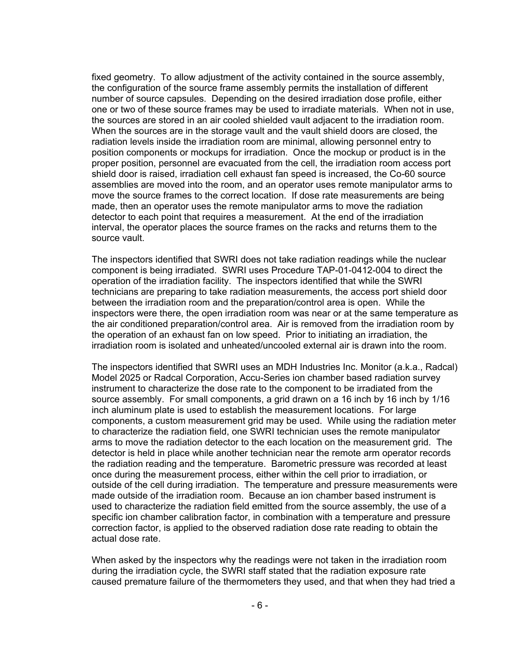fixed geometry. To allow adjustment of the activity contained in the source assembly, the configuration of the source frame assembly permits the installation of different number of source capsules. Depending on the desired irradiation dose profile, either one or two of these source frames may be used to irradiate materials. When not in use, the sources are stored in an air cooled shielded vault adjacent to the irradiation room. When the sources are in the storage vault and the vault shield doors are closed, the radiation levels inside the irradiation room are minimal, allowing personnel entry to position components or mockups for irradiation. Once the mockup or product is in the proper position, personnel are evacuated from the cell, the irradiation room access port shield door is raised, irradiation cell exhaust fan speed is increased, the Co-60 source assemblies are moved into the room, and an operator uses remote manipulator arms to move the source frames to the correct location. If dose rate measurements are being made, then an operator uses the remote manipulator arms to move the radiation detector to each point that requires a measurement. At the end of the irradiation interval, the operator places the source frames on the racks and returns them to the source vault.

The inspectors identified that SWRI does not take radiation readings while the nuclear component is being irradiated. SWRI uses Procedure TAP-01-0412-004 to direct the operation of the irradiation facility. The inspectors identified that while the SWRI technicians are preparing to take radiation measurements, the access port shield door between the irradiation room and the preparation/control area is open. While the inspectors were there, the open irradiation room was near or at the same temperature as the air conditioned preparation/control area. Air is removed from the irradiation room by the operation of an exhaust fan on low speed. Prior to initiating an irradiation, the irradiation room is isolated and unheated/uncooled external air is drawn into the room.

The inspectors identified that SWRI uses an MDH Industries Inc. Monitor (a.k.a., Radcal) Model 2025 or Radcal Corporation, Accu-Series ion chamber based radiation survey instrument to characterize the dose rate to the component to be irradiated from the source assembly. For small components, a grid drawn on a 16 inch by 16 inch by 1/16 inch aluminum plate is used to establish the measurement locations. For large components, a custom measurement grid may be used. While using the radiation meter to characterize the radiation field, one SWRI technician uses the remote manipulator arms to move the radiation detector to the each location on the measurement grid. The detector is held in place while another technician near the remote arm operator records the radiation reading and the temperature. Barometric pressure was recorded at least once during the measurement process, either within the cell prior to irradiation, or outside of the cell during irradiation. The temperature and pressure measurements were made outside of the irradiation room. Because an ion chamber based instrument is used to characterize the radiation field emitted from the source assembly, the use of a specific ion chamber calibration factor, in combination with a temperature and pressure correction factor, is applied to the observed radiation dose rate reading to obtain the actual dose rate.

When asked by the inspectors why the readings were not taken in the irradiation room during the irradiation cycle, the SWRI staff stated that the radiation exposure rate caused premature failure of the thermometers they used, and that when they had tried a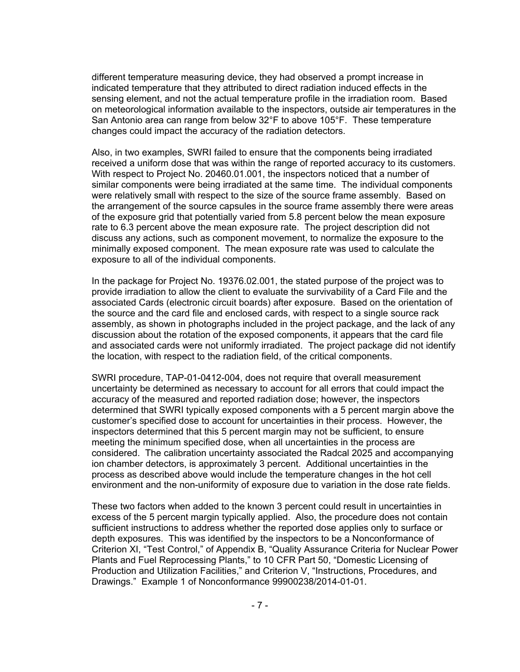different temperature measuring device, they had observed a prompt increase in indicated temperature that they attributed to direct radiation induced effects in the sensing element, and not the actual temperature profile in the irradiation room. Based on meteorological information available to the inspectors, outside air temperatures in the San Antonio area can range from below 32°F to above 105°F. These temperature changes could impact the accuracy of the radiation detectors.

Also, in two examples, SWRI failed to ensure that the components being irradiated received a uniform dose that was within the range of reported accuracy to its customers. With respect to Project No. 20460.01.001, the inspectors noticed that a number of similar components were being irradiated at the same time. The individual components were relatively small with respect to the size of the source frame assembly. Based on the arrangement of the source capsules in the source frame assembly there were areas of the exposure grid that potentially varied from 5.8 percent below the mean exposure rate to 6.3 percent above the mean exposure rate. The project description did not discuss any actions, such as component movement, to normalize the exposure to the minimally exposed component. The mean exposure rate was used to calculate the exposure to all of the individual components.

In the package for Project No. 19376.02.001, the stated purpose of the project was to provide irradiation to allow the client to evaluate the survivability of a Card File and the associated Cards (electronic circuit boards) after exposure. Based on the orientation of the source and the card file and enclosed cards, with respect to a single source rack assembly, as shown in photographs included in the project package, and the lack of any discussion about the rotation of the exposed components, it appears that the card file and associated cards were not uniformly irradiated. The project package did not identify the location, with respect to the radiation field, of the critical components.

SWRI procedure, TAP-01-0412-004, does not require that overall measurement uncertainty be determined as necessary to account for all errors that could impact the accuracy of the measured and reported radiation dose; however, the inspectors determined that SWRI typically exposed components with a 5 percent margin above the customer's specified dose to account for uncertainties in their process. However, the inspectors determined that this 5 percent margin may not be sufficient, to ensure meeting the minimum specified dose, when all uncertainties in the process are considered. The calibration uncertainty associated the Radcal 2025 and accompanying ion chamber detectors, is approximately 3 percent. Additional uncertainties in the process as described above would include the temperature changes in the hot cell environment and the non-uniformity of exposure due to variation in the dose rate fields.

These two factors when added to the known 3 percent could result in uncertainties in excess of the 5 percent margin typically applied. Also, the procedure does not contain sufficient instructions to address whether the reported dose applies only to surface or depth exposures. This was identified by the inspectors to be a Nonconformance of Criterion XI, "Test Control," of Appendix B, "Quality Assurance Criteria for Nuclear Power Plants and Fuel Reprocessing Plants," to 10 CFR Part 50, "Domestic Licensing of Production and Utilization Facilities," and Criterion V, "Instructions, Procedures, and Drawings." Example 1 of Nonconformance 99900238/2014-01-01.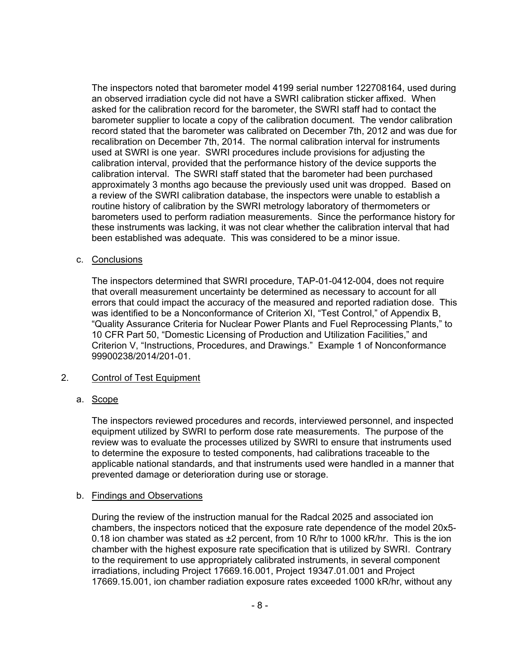The inspectors noted that barometer model 4199 serial number 122708164, used during an observed irradiation cycle did not have a SWRI calibration sticker affixed. When asked for the calibration record for the barometer, the SWRI staff had to contact the barometer supplier to locate a copy of the calibration document. The vendor calibration record stated that the barometer was calibrated on December 7th, 2012 and was due for recalibration on December 7th, 2014. The normal calibration interval for instruments used at SWRI is one year. SWRI procedures include provisions for adjusting the calibration interval, provided that the performance history of the device supports the calibration interval. The SWRI staff stated that the barometer had been purchased approximately 3 months ago because the previously used unit was dropped. Based on a review of the SWRI calibration database, the inspectors were unable to establish a routine history of calibration by the SWRI metrology laboratory of thermometers or barometers used to perform radiation measurements. Since the performance history for these instruments was lacking, it was not clear whether the calibration interval that had been established was adequate. This was considered to be a minor issue.

### c. Conclusions

The inspectors determined that SWRI procedure, TAP-01-0412-004, does not require that overall measurement uncertainty be determined as necessary to account for all errors that could impact the accuracy of the measured and reported radiation dose. This was identified to be a Nonconformance of Criterion XI, "Test Control," of Appendix B, "Quality Assurance Criteria for Nuclear Power Plants and Fuel Reprocessing Plants," to 10 CFR Part 50, "Domestic Licensing of Production and Utilization Facilities," and Criterion V, "Instructions, Procedures, and Drawings." Example 1 of Nonconformance 99900238/2014/201-01.

## 2. Control of Test Equipment

## a. Scope

The inspectors reviewed procedures and records, interviewed personnel, and inspected equipment utilized by SWRI to perform dose rate measurements. The purpose of the review was to evaluate the processes utilized by SWRI to ensure that instruments used to determine the exposure to tested components, had calibrations traceable to the applicable national standards, and that instruments used were handled in a manner that prevented damage or deterioration during use or storage.

## b. Findings and Observations

During the review of the instruction manual for the Radcal 2025 and associated ion chambers, the inspectors noticed that the exposure rate dependence of the model 20x5- 0.18 ion chamber was stated as  $\pm 2$  percent, from 10 R/hr to 1000 kR/hr. This is the ion chamber with the highest exposure rate specification that is utilized by SWRI. Contrary to the requirement to use appropriately calibrated instruments, in several component irradiations, including Project 17669.16.001, Project 19347.01.001 and Project 17669.15.001, ion chamber radiation exposure rates exceeded 1000 kR/hr, without any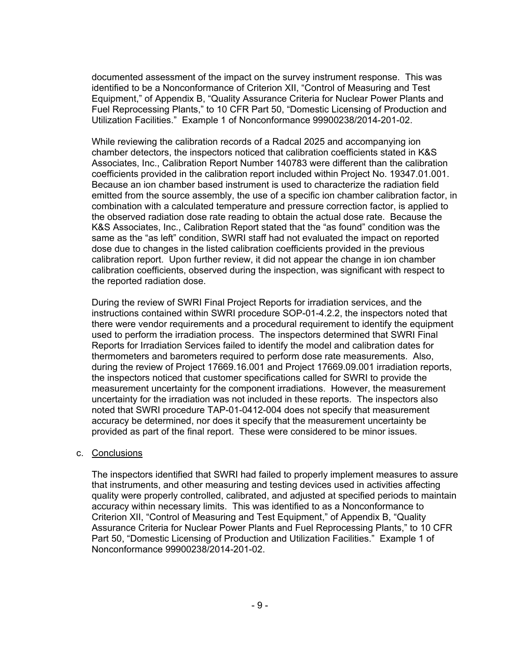documented assessment of the impact on the survey instrument response. This was identified to be a Nonconformance of Criterion XII, "Control of Measuring and Test Equipment," of Appendix B, "Quality Assurance Criteria for Nuclear Power Plants and Fuel Reprocessing Plants," to 10 CFR Part 50, "Domestic Licensing of Production and Utilization Facilities." Example 1 of Nonconformance 99900238/2014-201-02.

While reviewing the calibration records of a Radcal 2025 and accompanying ion chamber detectors, the inspectors noticed that calibration coefficients stated in K&S Associates, Inc., Calibration Report Number 140783 were different than the calibration coefficients provided in the calibration report included within Project No. 19347.01.001. Because an ion chamber based instrument is used to characterize the radiation field emitted from the source assembly, the use of a specific ion chamber calibration factor, in combination with a calculated temperature and pressure correction factor, is applied to the observed radiation dose rate reading to obtain the actual dose rate. Because the K&S Associates, Inc., Calibration Report stated that the "as found" condition was the same as the "as left" condition, SWRI staff had not evaluated the impact on reported dose due to changes in the listed calibration coefficients provided in the previous calibration report. Upon further review, it did not appear the change in ion chamber calibration coefficients, observed during the inspection, was significant with respect to the reported radiation dose.

During the review of SWRI Final Project Reports for irradiation services, and the instructions contained within SWRI procedure SOP-01-4.2.2, the inspectors noted that there were vendor requirements and a procedural requirement to identify the equipment used to perform the irradiation process. The inspectors determined that SWRI Final Reports for Irradiation Services failed to identify the model and calibration dates for thermometers and barometers required to perform dose rate measurements. Also, during the review of Project 17669.16.001 and Project 17669.09.001 irradiation reports, the inspectors noticed that customer specifications called for SWRI to provide the measurement uncertainty for the component irradiations. However, the measurement uncertainty for the irradiation was not included in these reports. The inspectors also noted that SWRI procedure TAP-01-0412-004 does not specify that measurement accuracy be determined, nor does it specify that the measurement uncertainty be provided as part of the final report. These were considered to be minor issues.

#### c. Conclusions

The inspectors identified that SWRI had failed to properly implement measures to assure that instruments, and other measuring and testing devices used in activities affecting quality were properly controlled, calibrated, and adjusted at specified periods to maintain accuracy within necessary limits. This was identified to as a Nonconformance to Criterion XII, "Control of Measuring and Test Equipment," of Appendix B, "Quality Assurance Criteria for Nuclear Power Plants and Fuel Reprocessing Plants," to 10 CFR Part 50, "Domestic Licensing of Production and Utilization Facilities." Example 1 of Nonconformance 99900238/2014-201-02.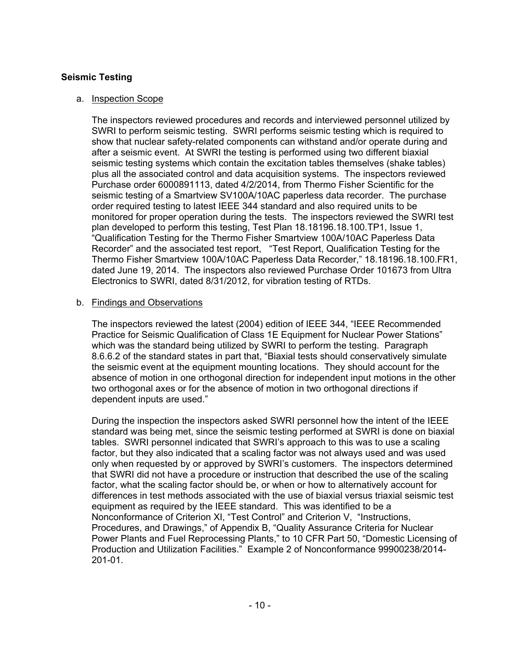## **Seismic Testing**

### a. Inspection Scope

The inspectors reviewed procedures and records and interviewed personnel utilized by SWRI to perform seismic testing. SWRI performs seismic testing which is required to show that nuclear safety-related components can withstand and/or operate during and after a seismic event. At SWRI the testing is performed using two different biaxial seismic testing systems which contain the excitation tables themselves (shake tables) plus all the associated control and data acquisition systems. The inspectors reviewed Purchase order 6000891113, dated 4/2/2014, from Thermo Fisher Scientific for the seismic testing of a Smartview SV100A/10AC paperless data recorder. The purchase order required testing to latest IEEE 344 standard and also required units to be monitored for proper operation during the tests. The inspectors reviewed the SWRI test plan developed to perform this testing, Test Plan 18.18196.18.100.TP1, Issue 1, "Qualification Testing for the Thermo Fisher Smartview 100A/10AC Paperless Data Recorder" and the associated test report, "Test Report, Qualification Testing for the Thermo Fisher Smartview 100A/10AC Paperless Data Recorder," 18.18196.18.100.FR1, dated June 19, 2014. The inspectors also reviewed Purchase Order 101673 from Ultra Electronics to SWRI, dated 8/31/2012, for vibration testing of RTDs.

### b. Findings and Observations

The inspectors reviewed the latest (2004) edition of IEEE 344, "IEEE Recommended Practice for Seismic Qualification of Class 1E Equipment for Nuclear Power Stations" which was the standard being utilized by SWRI to perform the testing. Paragraph 8.6.6.2 of the standard states in part that, "Biaxial tests should conservatively simulate the seismic event at the equipment mounting locations. They should account for the absence of motion in one orthogonal direction for independent input motions in the other two orthogonal axes or for the absence of motion in two orthogonal directions if dependent inputs are used."

During the inspection the inspectors asked SWRI personnel how the intent of the IEEE standard was being met, since the seismic testing performed at SWRI is done on biaxial tables. SWRI personnel indicated that SWRI's approach to this was to use a scaling factor, but they also indicated that a scaling factor was not always used and was used only when requested by or approved by SWRI's customers. The inspectors determined that SWRI did not have a procedure or instruction that described the use of the scaling factor, what the scaling factor should be, or when or how to alternatively account for differences in test methods associated with the use of biaxial versus triaxial seismic test equipment as required by the IEEE standard. This was identified to be a Nonconformance of Criterion XI, "Test Control" and Criterion V, "Instructions, Procedures, and Drawings," of Appendix B, "Quality Assurance Criteria for Nuclear Power Plants and Fuel Reprocessing Plants," to 10 CFR Part 50, "Domestic Licensing of Production and Utilization Facilities." Example 2 of Nonconformance 99900238/2014- 201-01.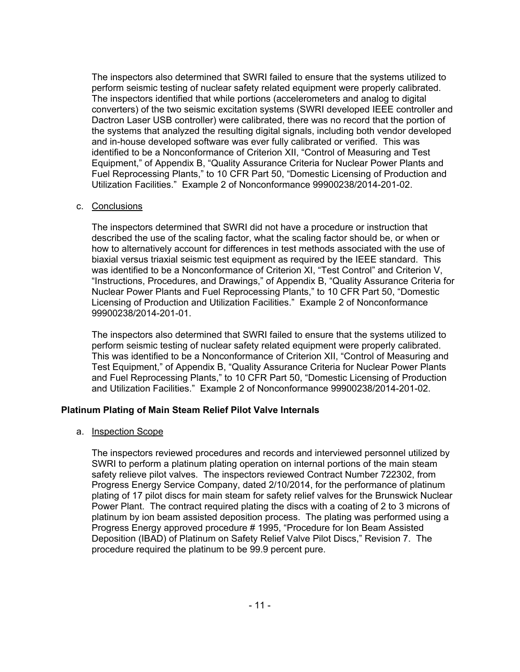The inspectors also determined that SWRI failed to ensure that the systems utilized to perform seismic testing of nuclear safety related equipment were properly calibrated. The inspectors identified that while portions (accelerometers and analog to digital converters) of the two seismic excitation systems (SWRI developed IEEE controller and Dactron Laser USB controller) were calibrated, there was no record that the portion of the systems that analyzed the resulting digital signals, including both vendor developed and in-house developed software was ever fully calibrated or verified. This was identified to be a Nonconformance of Criterion XII, "Control of Measuring and Test Equipment," of Appendix B, "Quality Assurance Criteria for Nuclear Power Plants and Fuel Reprocessing Plants," to 10 CFR Part 50, "Domestic Licensing of Production and Utilization Facilities." Example 2 of Nonconformance 99900238/2014-201-02.

### c. Conclusions

The inspectors determined that SWRI did not have a procedure or instruction that described the use of the scaling factor, what the scaling factor should be, or when or how to alternatively account for differences in test methods associated with the use of biaxial versus triaxial seismic test equipment as required by the IEEE standard. This was identified to be a Nonconformance of Criterion XI, "Test Control" and Criterion V, "Instructions, Procedures, and Drawings," of Appendix B, "Quality Assurance Criteria for Nuclear Power Plants and Fuel Reprocessing Plants," to 10 CFR Part 50, "Domestic Licensing of Production and Utilization Facilities." Example 2 of Nonconformance 99900238/2014-201-01.

The inspectors also determined that SWRI failed to ensure that the systems utilized to perform seismic testing of nuclear safety related equipment were properly calibrated. This was identified to be a Nonconformance of Criterion XII, "Control of Measuring and Test Equipment," of Appendix B, "Quality Assurance Criteria for Nuclear Power Plants and Fuel Reprocessing Plants," to 10 CFR Part 50, "Domestic Licensing of Production and Utilization Facilities." Example 2 of Nonconformance 99900238/2014-201-02.

## **Platinum Plating of Main Steam Relief Pilot Valve Internals**

#### a. Inspection Scope

The inspectors reviewed procedures and records and interviewed personnel utilized by SWRI to perform a platinum plating operation on internal portions of the main steam safety relieve pilot valves. The inspectors reviewed Contract Number 722302, from Progress Energy Service Company, dated 2/10/2014, for the performance of platinum plating of 17 pilot discs for main steam for safety relief valves for the Brunswick Nuclear Power Plant. The contract required plating the discs with a coating of 2 to 3 microns of platinum by ion beam assisted deposition process. The plating was performed using a Progress Energy approved procedure # 1995, "Procedure for Ion Beam Assisted Deposition (IBAD) of Platinum on Safety Relief Valve Pilot Discs," Revision 7. The procedure required the platinum to be 99.9 percent pure.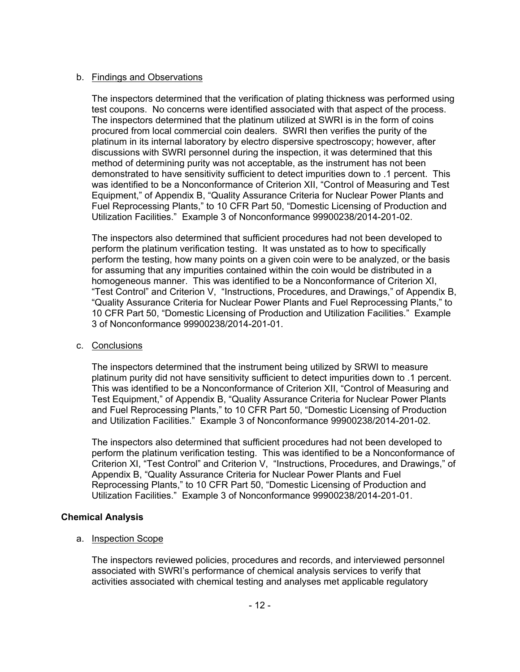## b. Findings and Observations

The inspectors determined that the verification of plating thickness was performed using test coupons. No concerns were identified associated with that aspect of the process. The inspectors determined that the platinum utilized at SWRI is in the form of coins procured from local commercial coin dealers. SWRI then verifies the purity of the platinum in its internal laboratory by electro dispersive spectroscopy; however, after discussions with SWRI personnel during the inspection, it was determined that this method of determining purity was not acceptable, as the instrument has not been demonstrated to have sensitivity sufficient to detect impurities down to .1 percent. This was identified to be a Nonconformance of Criterion XII, "Control of Measuring and Test Equipment," of Appendix B, "Quality Assurance Criteria for Nuclear Power Plants and Fuel Reprocessing Plants," to 10 CFR Part 50, "Domestic Licensing of Production and Utilization Facilities." Example 3 of Nonconformance 99900238/2014-201-02.

The inspectors also determined that sufficient procedures had not been developed to perform the platinum verification testing. It was unstated as to how to specifically perform the testing, how many points on a given coin were to be analyzed, or the basis for assuming that any impurities contained within the coin would be distributed in a homogeneous manner. This was identified to be a Nonconformance of Criterion XI, "Test Control" and Criterion V, "Instructions, Procedures, and Drawings," of Appendix B, "Quality Assurance Criteria for Nuclear Power Plants and Fuel Reprocessing Plants," to 10 CFR Part 50, "Domestic Licensing of Production and Utilization Facilities." Example 3 of Nonconformance 99900238/2014-201-01.

## c. Conclusions

The inspectors determined that the instrument being utilized by SRWI to measure platinum purity did not have sensitivity sufficient to detect impurities down to .1 percent. This was identified to be a Nonconformance of Criterion XII, "Control of Measuring and Test Equipment," of Appendix B, "Quality Assurance Criteria for Nuclear Power Plants and Fuel Reprocessing Plants," to 10 CFR Part 50, "Domestic Licensing of Production and Utilization Facilities." Example 3 of Nonconformance 99900238/2014-201-02.

The inspectors also determined that sufficient procedures had not been developed to perform the platinum verification testing. This was identified to be a Nonconformance of Criterion XI, "Test Control" and Criterion V, "Instructions, Procedures, and Drawings," of Appendix B, "Quality Assurance Criteria for Nuclear Power Plants and Fuel Reprocessing Plants," to 10 CFR Part 50, "Domestic Licensing of Production and Utilization Facilities." Example 3 of Nonconformance 99900238/2014-201-01.

## **Chemical Analysis**

## a. Inspection Scope

The inspectors reviewed policies, procedures and records, and interviewed personnel associated with SWRI's performance of chemical analysis services to verify that activities associated with chemical testing and analyses met applicable regulatory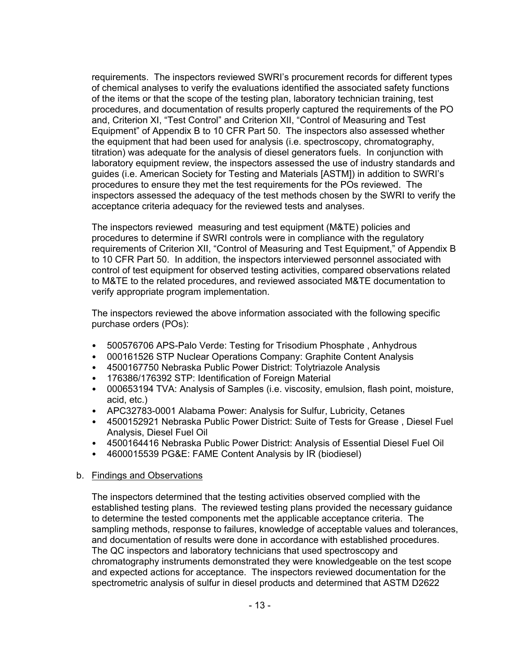requirements. The inspectors reviewed SWRI's procurement records for different types of chemical analyses to verify the evaluations identified the associated safety functions of the items or that the scope of the testing plan, laboratory technician training, test procedures, and documentation of results properly captured the requirements of the PO and, Criterion XI, "Test Control" and Criterion XII, "Control of Measuring and Test Equipment" of Appendix B to 10 CFR Part 50. The inspectors also assessed whether the equipment that had been used for analysis (i.e. spectroscopy, chromatography, titration) was adequate for the analysis of diesel generators fuels. In conjunction with laboratory equipment review, the inspectors assessed the use of industry standards and guides (i.e. American Society for Testing and Materials [ASTM]) in addition to SWRI's procedures to ensure they met the test requirements for the POs reviewed. The inspectors assessed the adequacy of the test methods chosen by the SWRI to verify the acceptance criteria adequacy for the reviewed tests and analyses.

The inspectors reviewed measuring and test equipment (M&TE) policies and procedures to determine if SWRI controls were in compliance with the regulatory requirements of Criterion XII, "Control of Measuring and Test Equipment," of Appendix B to 10 CFR Part 50. In addition, the inspectors interviewed personnel associated with control of test equipment for observed testing activities, compared observations related to M&TE to the related procedures, and reviewed associated M&TE documentation to verify appropriate program implementation.

The inspectors reviewed the above information associated with the following specific purchase orders (POs):

- 500576706 APS-Palo Verde: Testing for Trisodium Phosphate , Anhydrous
- 000161526 STP Nuclear Operations Company: Graphite Content Analysis
- 4500167750 Nebraska Public Power District: Tolytriazole Analysis
- 176386/176392 STP: Identification of Foreign Material
- 000653194 TVA: Analysis of Samples (i.e. viscosity, emulsion, flash point, moisture, acid, etc.)
- APC32783-0001 Alabama Power: Analysis for Sulfur, Lubricity, Cetanes
- 4500152921 Nebraska Public Power District: Suite of Tests for Grease , Diesel Fuel Analysis, Diesel Fuel Oil
- 4500164416 Nebraska Public Power District: Analysis of Essential Diesel Fuel Oil
- 4600015539 PG&E: FAME Content Analysis by IR (biodiesel)

#### b. Findings and Observations

The inspectors determined that the testing activities observed complied with the established testing plans. The reviewed testing plans provided the necessary guidance to determine the tested components met the applicable acceptance criteria. The sampling methods, response to failures, knowledge of acceptable values and tolerances, and documentation of results were done in accordance with established procedures. The QC inspectors and laboratory technicians that used spectroscopy and chromatography instruments demonstrated they were knowledgeable on the test scope and expected actions for acceptance. The inspectors reviewed documentation for the spectrometric analysis of sulfur in diesel products and determined that ASTM D2622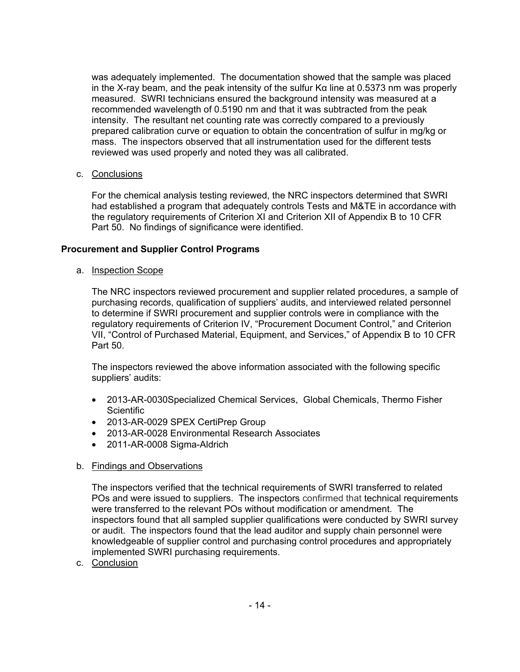was adequately implemented. The documentation showed that the sample was placed in the X-ray beam, and the peak intensity of the sulfur Kα line at 0.5373 nm was properly measured. SWRI technicians ensured the background intensity was measured at a recommended wavelength of 0.5190 nm and that it was subtracted from the peak intensity. The resultant net counting rate was correctly compared to a previously prepared calibration curve or equation to obtain the concentration of sulfur in mg/kg or mass. The inspectors observed that all instrumentation used for the different tests reviewed was used properly and noted they was all calibrated.

## c. Conclusions

For the chemical analysis testing reviewed, the NRC inspectors determined that SWRI had established a program that adequately controls Tests and M&TE in accordance with the regulatory requirements of Criterion XI and Criterion XII of Appendix B to 10 CFR Part 50. No findings of significance were identified.

## **Procurement and Supplier Control Programs**

a. Inspection Scope

The NRC inspectors reviewed procurement and supplier related procedures, a sample of purchasing records, qualification of suppliers' audits, and interviewed related personnel to determine if SWRI procurement and supplier controls were in compliance with the regulatory requirements of Criterion IV, "Procurement Document Control," and Criterion VII, "Control of Purchased Material, Equipment, and Services," of Appendix B to 10 CFR Part 50.

The inspectors reviewed the above information associated with the following specific suppliers' audits:

- 2013-AR-0030Specialized Chemical Services, Global Chemicals, Thermo Fisher **Scientific**
- 2013-AR-0029 SPEX CertiPrep Group
- 2013-AR-0028 Environmental Research Associates
- 2011-AR-0008 Sigma-Aldrich

#### b. Findings and Observations

The inspectors verified that the technical requirements of SWRI transferred to related POs and were issued to suppliers. The inspectors confirmed that technical requirements were transferred to the relevant POs without modification or amendment. The inspectors found that all sampled supplier qualifications were conducted by SWRI survey or audit. The inspectors found that the lead auditor and supply chain personnel were knowledgeable of supplier control and purchasing control procedures and appropriately implemented SWRI purchasing requirements.

c. Conclusion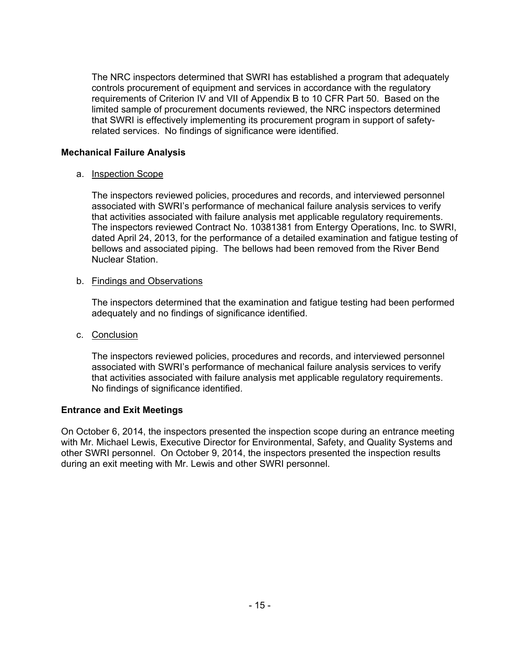The NRC inspectors determined that SWRI has established a program that adequately controls procurement of equipment and services in accordance with the regulatory requirements of Criterion IV and VII of Appendix B to 10 CFR Part 50. Based on the limited sample of procurement documents reviewed, the NRC inspectors determined that SWRI is effectively implementing its procurement program in support of safetyrelated services. No findings of significance were identified.

## **Mechanical Failure Analysis**

## a. Inspection Scope

The inspectors reviewed policies, procedures and records, and interviewed personnel associated with SWRI's performance of mechanical failure analysis services to verify that activities associated with failure analysis met applicable regulatory requirements. The inspectors reviewed Contract No. 10381381 from Entergy Operations, Inc. to SWRI, dated April 24, 2013, for the performance of a detailed examination and fatigue testing of bellows and associated piping. The bellows had been removed from the River Bend Nuclear Station.

## b. Findings and Observations

The inspectors determined that the examination and fatigue testing had been performed adequately and no findings of significance identified.

# c. Conclusion

The inspectors reviewed policies, procedures and records, and interviewed personnel associated with SWRI's performance of mechanical failure analysis services to verify that activities associated with failure analysis met applicable regulatory requirements. No findings of significance identified.

# **Entrance and Exit Meetings**

On October 6, 2014, the inspectors presented the inspection scope during an entrance meeting with Mr. Michael Lewis, Executive Director for Environmental, Safety, and Quality Systems and other SWRI personnel. On October 9, 2014, the inspectors presented the inspection results during an exit meeting with Mr. Lewis and other SWRI personnel.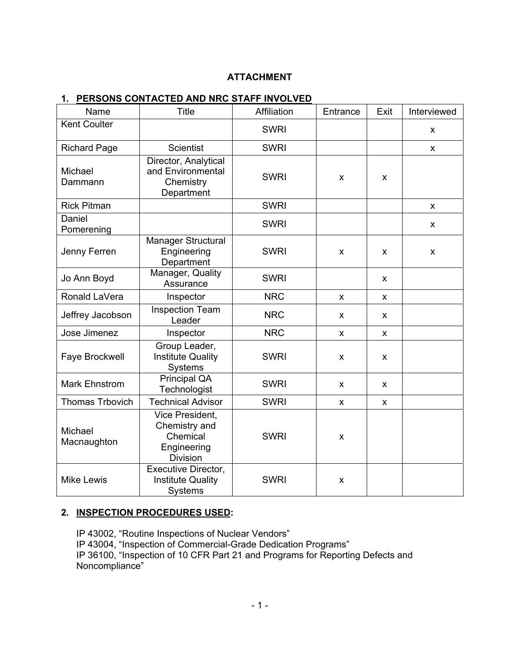## **ATTACHMENT**

| Name                   | Title                                                                          | Affiliation | Entrance | Exit | Interviewed |
|------------------------|--------------------------------------------------------------------------------|-------------|----------|------|-------------|
| <b>Kent Coulter</b>    |                                                                                | <b>SWRI</b> |          |      | X           |
| <b>Richard Page</b>    | <b>Scientist</b>                                                               | <b>SWRI</b> |          |      | X           |
| Michael<br>Dammann     | Director, Analytical<br>and Environmental<br>Chemistry<br>Department           | <b>SWRI</b> | X        | x    |             |
| <b>Rick Pitman</b>     |                                                                                | <b>SWRI</b> |          |      | X           |
| Daniel<br>Pomerening   |                                                                                | <b>SWRI</b> |          |      | X           |
| Jenny Ferren           | Manager Structural<br>Engineering<br>Department                                | <b>SWRI</b> | X        | x    | X           |
| Jo Ann Boyd            | Manager, Quality<br>Assurance                                                  | <b>SWRI</b> |          | X    |             |
| Ronald LaVera          | Inspector                                                                      | <b>NRC</b>  | X        | X    |             |
| Jeffrey Jacobson       | <b>Inspection Team</b><br>Leader                                               | <b>NRC</b>  | X        | x    |             |
| Jose Jimenez           | Inspector                                                                      | <b>NRC</b>  | X        | X    |             |
| Faye Brockwell         | Group Leader,<br><b>Institute Quality</b><br>Systems                           | <b>SWRI</b> | X        | X    |             |
| Mark Ehnstrom          | Principal QA<br>Technologist                                                   | <b>SWRI</b> | X        | X    |             |
| <b>Thomas Trbovich</b> | <b>Technical Advisor</b>                                                       | <b>SWRI</b> | X        | X    |             |
| Michael<br>Macnaughton | Vice President,<br>Chemistry and<br>Chemical<br>Engineering<br><b>Division</b> | <b>SWRI</b> | X        |      |             |
| <b>Mike Lewis</b>      | Executive Director,<br><b>Institute Quality</b><br>Systems                     | <b>SWRI</b> | X        |      |             |

### **1. PERSONS CONTACTED AND NRC STAFF INVOLVED**

# **2. INSPECTION PROCEDURES USED:**

IP 43002, "Routine Inspections of Nuclear Vendors" IP 43004, "Inspection of Commercial-Grade Dedication Programs" IP 36100, "Inspection of 10 CFR Part 21 and Programs for Reporting Defects and Noncompliance"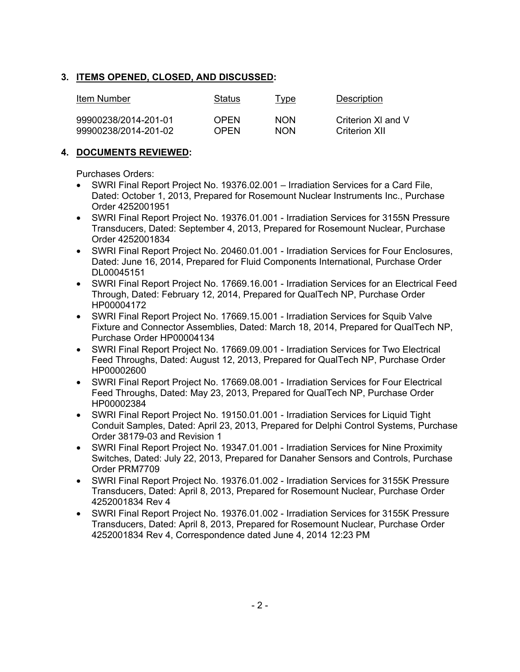# **3. ITEMS OPENED, CLOSED, AND DISCUSSED:**

| Item Number          | Status | Type       | Description        |
|----------------------|--------|------------|--------------------|
| 99900238/2014-201-01 | OPEN   | <b>NON</b> | Criterion XI and V |
| 99900238/2014-201-02 | OPEN   | <b>NON</b> | Criterion XII      |

# **4. DOCUMENTS REVIEWED:**

Purchases Orders:

- SWRI Final Report Project No. 19376.02.001 Irradiation Services for a Card File, Dated: October 1, 2013, Prepared for Rosemount Nuclear Instruments Inc., Purchase Order 4252001951
- SWRI Final Report Project No. 19376.01.001 Irradiation Services for 3155N Pressure Transducers, Dated: September 4, 2013, Prepared for Rosemount Nuclear, Purchase Order 4252001834
- SWRI Final Report Project No. 20460.01.001 Irradiation Services for Four Enclosures, Dated: June 16, 2014, Prepared for Fluid Components International, Purchase Order DL00045151
- SWRI Final Report Project No. 17669.16.001 Irradiation Services for an Electrical Feed Through, Dated: February 12, 2014, Prepared for QualTech NP, Purchase Order HP00004172
- SWRI Final Report Project No. 17669.15.001 Irradiation Services for Squib Valve Fixture and Connector Assemblies, Dated: March 18, 2014, Prepared for QualTech NP, Purchase Order HP00004134
- SWRI Final Report Project No. 17669.09.001 Irradiation Services for Two Electrical Feed Throughs, Dated: August 12, 2013, Prepared for QualTech NP, Purchase Order HP00002600
- SWRI Final Report Project No. 17669.08.001 Irradiation Services for Four Electrical Feed Throughs, Dated: May 23, 2013, Prepared for QualTech NP, Purchase Order HP00002384
- SWRI Final Report Project No. 19150.01.001 Irradiation Services for Liquid Tight Conduit Samples, Dated: April 23, 2013, Prepared for Delphi Control Systems, Purchase Order 38179-03 and Revision 1
- SWRI Final Report Project No. 19347.01.001 Irradiation Services for Nine Proximity Switches, Dated: July 22, 2013, Prepared for Danaher Sensors and Controls, Purchase Order PRM7709
- SWRI Final Report Project No. 19376.01.002 Irradiation Services for 3155K Pressure Transducers, Dated: April 8, 2013, Prepared for Rosemount Nuclear, Purchase Order 4252001834 Rev 4
- SWRI Final Report Project No. 19376.01.002 Irradiation Services for 3155K Pressure Transducers, Dated: April 8, 2013, Prepared for Rosemount Nuclear, Purchase Order 4252001834 Rev 4, Correspondence dated June 4, 2014 12:23 PM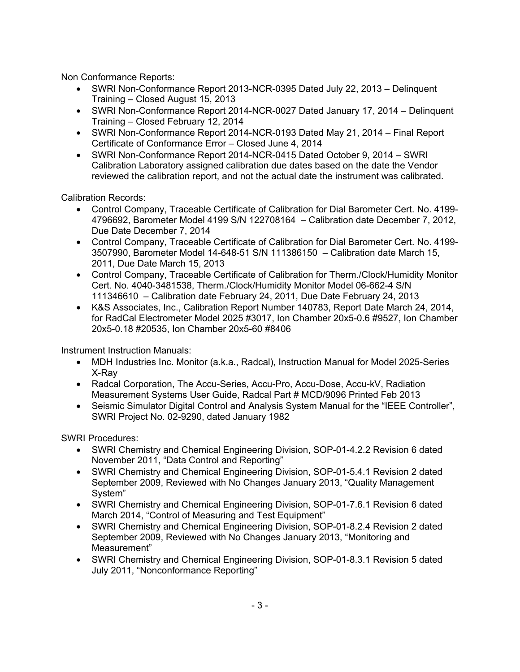Non Conformance Reports:

- SWRI Non-Conformance Report 2013-NCR-0395 Dated July 22, 2013 Delinquent Training – Closed August 15, 2013
- SWRI Non-Conformance Report 2014-NCR-0027 Dated January 17, 2014 Delinquent Training – Closed February 12, 2014
- SWRI Non-Conformance Report 2014-NCR-0193 Dated May 21, 2014 Final Report Certificate of Conformance Error – Closed June 4, 2014
- SWRI Non-Conformance Report 2014-NCR-0415 Dated October 9, 2014 SWRI Calibration Laboratory assigned calibration due dates based on the date the Vendor reviewed the calibration report, and not the actual date the instrument was calibrated.

Calibration Records:

- Control Company, Traceable Certificate of Calibration for Dial Barometer Cert. No. 4199- 4796692, Barometer Model 4199 S/N 122708164 – Calibration date December 7, 2012, Due Date December 7, 2014
- Control Company, Traceable Certificate of Calibration for Dial Barometer Cert. No. 4199- 3507990, Barometer Model 14-648-51 S/N 111386150 – Calibration date March 15, 2011, Due Date March 15, 2013
- Control Company, Traceable Certificate of Calibration for Therm./Clock/Humidity Monitor Cert. No. 4040-3481538, Therm./Clock/Humidity Monitor Model 06-662-4 S/N 111346610 – Calibration date February 24, 2011, Due Date February 24, 2013
- K&S Associates, Inc., Calibration Report Number 140783, Report Date March 24, 2014, for RadCal Electrometer Model 2025 #3017, Ion Chamber 20x5-0.6 #9527, Ion Chamber 20x5-0.18 #20535, Ion Chamber 20x5-60 #8406

Instrument Instruction Manuals:

- MDH Industries Inc. Monitor (a.k.a., Radcal), Instruction Manual for Model 2025-Series X-Ray
- Radcal Corporation, The Accu-Series, Accu-Pro, Accu-Dose, Accu-kV, Radiation Measurement Systems User Guide, Radcal Part # MCD/9096 Printed Feb 2013
- Seismic Simulator Digital Control and Analysis System Manual for the "IEEE Controller", SWRI Project No. 02-9290, dated January 1982

SWRI Procedures:

- SWRI Chemistry and Chemical Engineering Division, SOP-01-4.2.2 Revision 6 dated November 2011, "Data Control and Reporting"
- SWRI Chemistry and Chemical Engineering Division, SOP-01-5.4.1 Revision 2 dated September 2009, Reviewed with No Changes January 2013, "Quality Management System"
- SWRI Chemistry and Chemical Engineering Division, SOP-01-7.6.1 Revision 6 dated March 2014, "Control of Measuring and Test Equipment"
- SWRI Chemistry and Chemical Engineering Division, SOP-01-8.2.4 Revision 2 dated September 2009, Reviewed with No Changes January 2013, "Monitoring and Measurement"
- SWRI Chemistry and Chemical Engineering Division, SOP-01-8.3.1 Revision 5 dated July 2011, "Nonconformance Reporting"